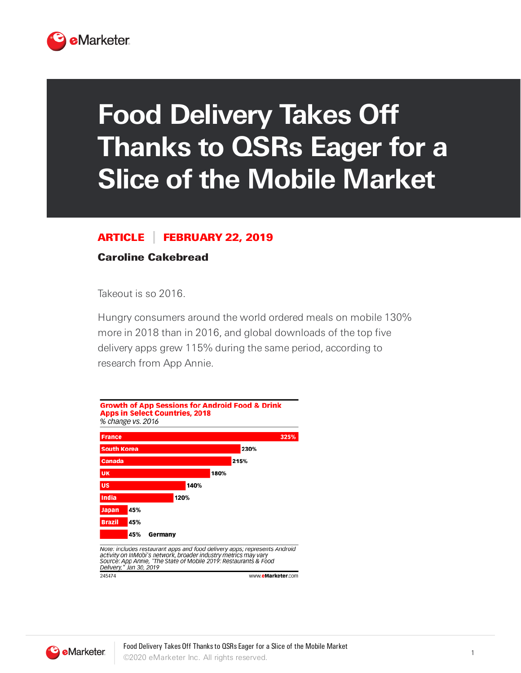

## **Food Delivery Takes Off Thanks to QSRs Eager for a Slice of the Mobile Market**

## ARTICLE FEBRUARY 22, 2019

## Caroline Cakebread

Takeout is so 2016.

Hungry consumers around the world ordered meals on mobile 130% more in 2018 than in 2016, and global downloads of the top five delivery apps grew 115% during the same period, according to research from App Annie.